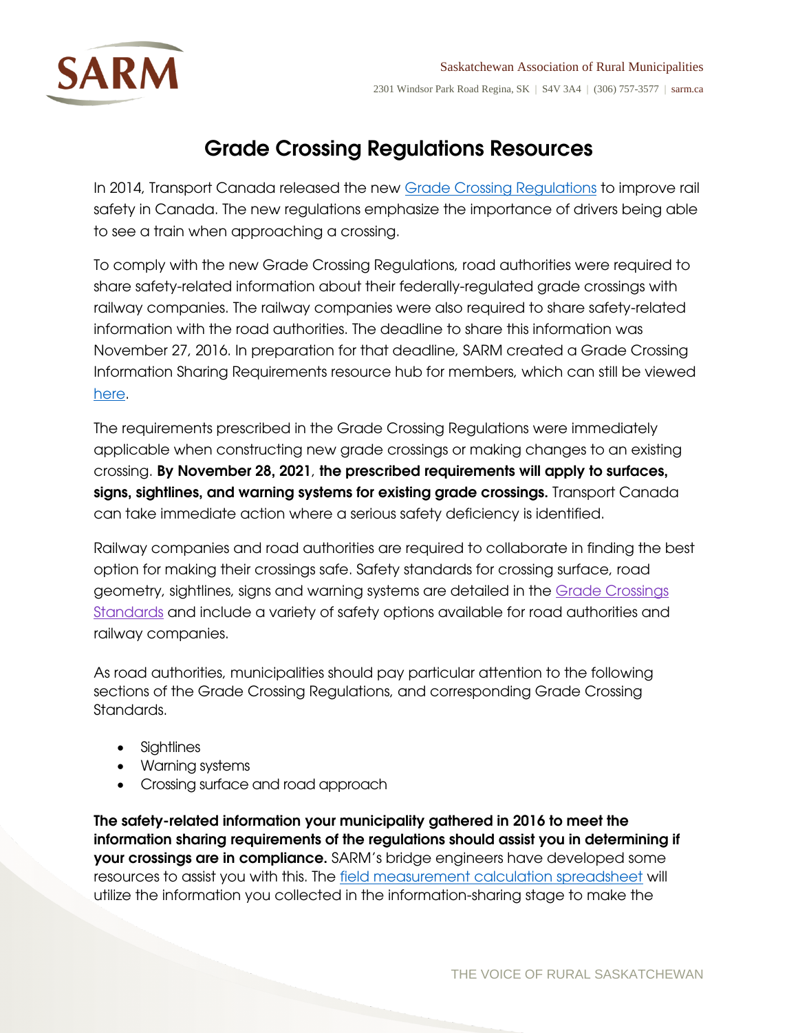

## Grade Crossing Regulations Resources

In 2014, Transport Canada released the new [Grade Crossing Regulations](http://laws-lois.justice.gc.ca/eng/regulations/SOR-2014-275/) to improve rail safety in Canada. The new regulations emphasize the importance of drivers being able to see a train when approaching a crossing.

To comply with the new Grade Crossing Regulations, road authorities were required to share safety-related information about their federally-regulated grade crossings with railway companies. The railway companies were also required to share safety-related information with the road authorities. The deadline to share this information was November 27, 2016. In preparation for that deadline, SARM created a Grade Crossing Information Sharing Requirements resource hub for members, which can still be viewed [here.](https://sarm.ca/advocacy/whats-trending/grade-crossing-regulations-resources)

The requirements prescribed in the Grade Crossing Regulations were immediately applicable when constructing new grade crossings or making changes to an existing crossing. By November 28, 2021, the prescribed requirements will apply to surfaces, signs, sightlines, and warning systems for existing grade crossings. Transport Canada can take immediate action where a serious safety deficiency is identified.

Railway companies and road authorities are required to collaborate in finding the best option for making their crossings safe. Safety standards for crossing surface, road geometry, sightlines, signs and warning systems are detailed in the [Grade Crossings](https://www.tc.gc.ca/eng/railsafety/grade-crossings-standards.htm)  [Standards](https://www.tc.gc.ca/eng/railsafety/grade-crossings-standards.htm) and include a variety of safety options available for road authorities and railway companies.

As road authorities, municipalities should pay particular attention to the following sections of the Grade Crossing Regulations, and corresponding Grade Crossing Standards.

- Sightlines
- Warning systems
- Crossing surface and road approach

The safety-related information your municipality gathered in 2016 to meet the information sharing requirements of the regulations should assist you in determining if your crossings are in compliance. SARM's bridge engineers have developed some resources to assist you with this. The [field measurement calculation spreadsheet](https://sarm.ca/+pub/File/Policy%20-%20Whats%20Trending/2019/Field%20Measurement%20Calculation%20Spreadsheet%20v4.xlsx) will utilize the information you collected in the information-sharing stage to make the